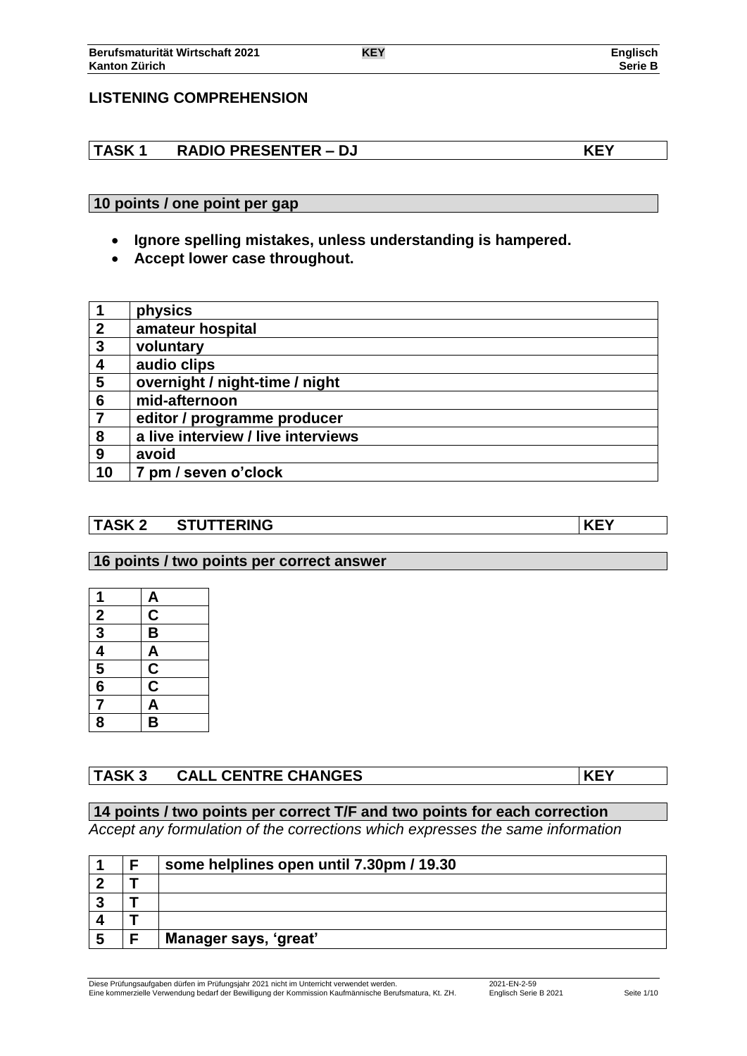## **LISTENING COMPREHENSION**

## **TASK 1 RADIO PRESENTER – DJ KEY**

### **10 points / one point per gap**

- **Ignore spelling mistakes, unless understanding is hampered.**
- **Accept lower case throughout.**

| $\overline{\mathbf{1}}$ | physics                            |
|-------------------------|------------------------------------|
| $\mathbf{2}$            | amateur hospital                   |
| $\mathbf{3}$            | voluntary                          |
| $\overline{\mathbf{4}}$ | audio clips                        |
| 5                       | overnight / night-time / night     |
| $6\phantom{1}6$         | mid-afternoon                      |
| $\overline{7}$          | editor / programme producer        |
| 8                       | a live interview / live interviews |
| 9                       | avoid                              |
| 10                      | 7 pm / seven o'clock               |

## **TASK 2 STUTTERING KEY**

### **16 points / two points per correct answer**

| 1                                         | <u>А</u>                        |
|-------------------------------------------|---------------------------------|
|                                           | $\overline{\mathsf{C}}$         |
| $\frac{2}{3}$ $\frac{4}{5}$ $\frac{6}{3}$ | $\overline{\mathsf{B}}$         |
|                                           |                                 |
|                                           |                                 |
|                                           | $\frac{A}{C}$                   |
| $\frac{7}{8}$                             | $\frac{\mathbf{A}}{\mathbf{B}}$ |
|                                           |                                 |

## **TASK 3 CALL CENTRE CHANGES** KEY

### **14 points / two points per correct T/F and two points for each correction** *Accept any formulation of the corrections which expresses the same information*

|   | some helplines open until 7.30pm / 19.30 |
|---|------------------------------------------|
|   |                                          |
|   |                                          |
|   |                                          |
| Е | Manager says, 'great'                    |

Diese Prüfungsaufgaben dürfen im Prüfungsjahr 2021 nicht im Unterricht verwendet werden. 2021-EN-2-59 Eine kommerzielle Verwendung bedarf der Bewilligung der Kommission Kaufmännische Berufsmatura, Kt. ZH. Englisch Serie B 2021 Seite 1/10

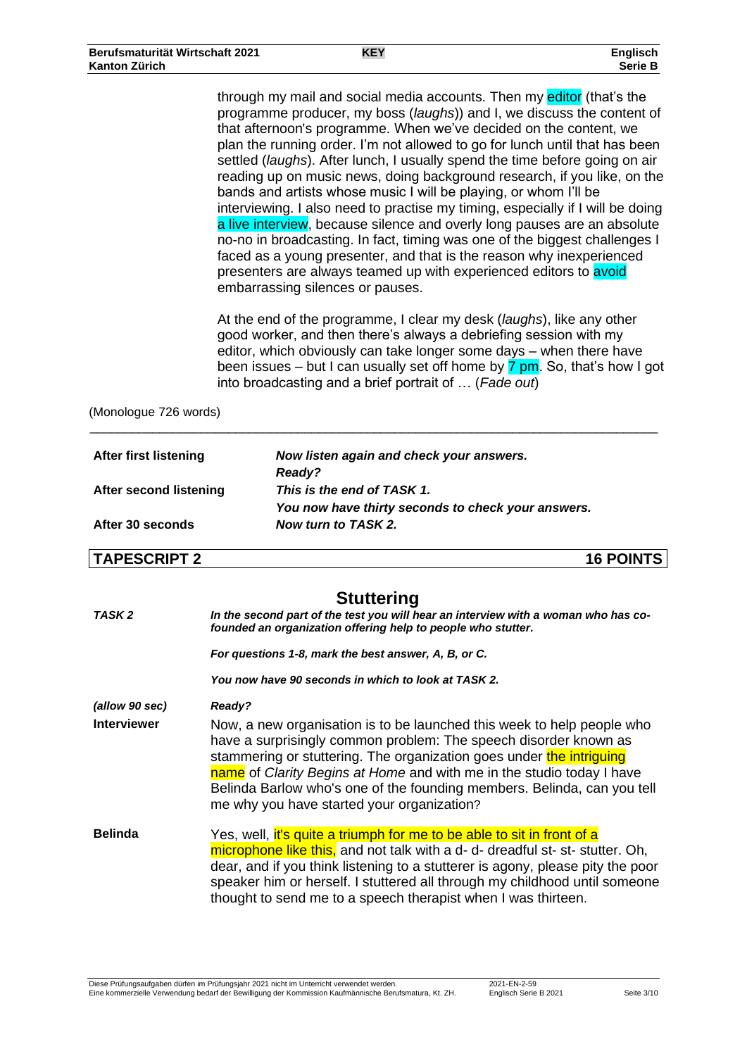through my mail and social media accounts. Then my editor (that's the programme producer, my boss (*laughs*)) and I, we discuss the content of that afternoon's programme. When we've decided on the content, we plan the running order. I'm not allowed to go for lunch until that has been settled (*laughs*). After lunch, I usually spend the time before going on air reading up on music news, doing background research, if you like, on the bands and artists whose music I will be playing, or whom I'll be interviewing. I also need to practise my timing, especially if I will be doing a live interview, because silence and overly long pauses are an absolute no-no in broadcasting. In fact, timing was one of the biggest challenges I faced as a young presenter, and that is the reason why inexperienced presenters are always teamed up with experienced editors to avoid embarrassing silences or pauses.

At the end of the programme, I clear my desk (*laughs*), like any other good worker, and then there's always a debriefing session with my editor, which obviously can take longer some days – when there have been issues – but I can usually set off home by  $\overline{7}$  pm. So, that's how I got into broadcasting and a brief portrait of … (*Fade out*)

(Monologue 726 words)

| <b>After first listening</b>  | Now listen again and check your answers.<br>Ready? |
|-------------------------------|----------------------------------------------------|
| <b>After second listening</b> | This is the end of TASK 1.                         |
|                               | You now have thirty seconds to check your answers. |
| After 30 seconds              | Now turn to TASK 2.                                |
| <b>TAPESCRIPT 2</b>           | <b>16 POINTS</b>                                   |

\_\_\_\_\_\_\_\_\_\_\_\_\_\_\_\_\_\_\_\_\_\_\_\_\_\_\_\_\_\_\_\_\_\_\_\_\_\_\_\_\_\_\_\_\_\_\_\_\_\_\_\_\_\_\_\_\_\_\_\_\_\_\_\_\_\_\_\_\_\_\_\_\_\_\_\_\_\_\_\_\_\_

## **Stuttering**

| TASK <sub>2</sub>  | <b>ULULLUI III IY</b><br>In the second part of the test you will hear an interview with a woman who has co-<br>founded an organization offering help to people who stutter.                                                                                                                                                                                                                                          |  |  |
|--------------------|----------------------------------------------------------------------------------------------------------------------------------------------------------------------------------------------------------------------------------------------------------------------------------------------------------------------------------------------------------------------------------------------------------------------|--|--|
|                    | For questions 1-8, mark the best answer, A, B, or C.                                                                                                                                                                                                                                                                                                                                                                 |  |  |
|                    | You now have 90 seconds in which to look at TASK 2.                                                                                                                                                                                                                                                                                                                                                                  |  |  |
| (allow 90 sec)     | Ready?                                                                                                                                                                                                                                                                                                                                                                                                               |  |  |
| <b>Interviewer</b> | Now, a new organisation is to be launched this week to help people who<br>have a surprisingly common problem: The speech disorder known as<br>stammering or stuttering. The organization goes under the intriguing<br>name of Clarity Begins at Home and with me in the studio today I have<br>Belinda Barlow who's one of the founding members. Belinda, can you tell<br>me why you have started your organization? |  |  |
| <b>Belinda</b>     | Yes, well, it's quite a triumph for me to be able to sit in front of a<br>microphone like this, and not talk with a d- d- dreadful st- st- stutter. Oh,<br>dear, and if you think listening to a stutterer is agony, please pity the poor<br>speaker him or herself. I stuttered all through my childhood until someone<br>thought to send me to a speech therapist when I was thirteen.                             |  |  |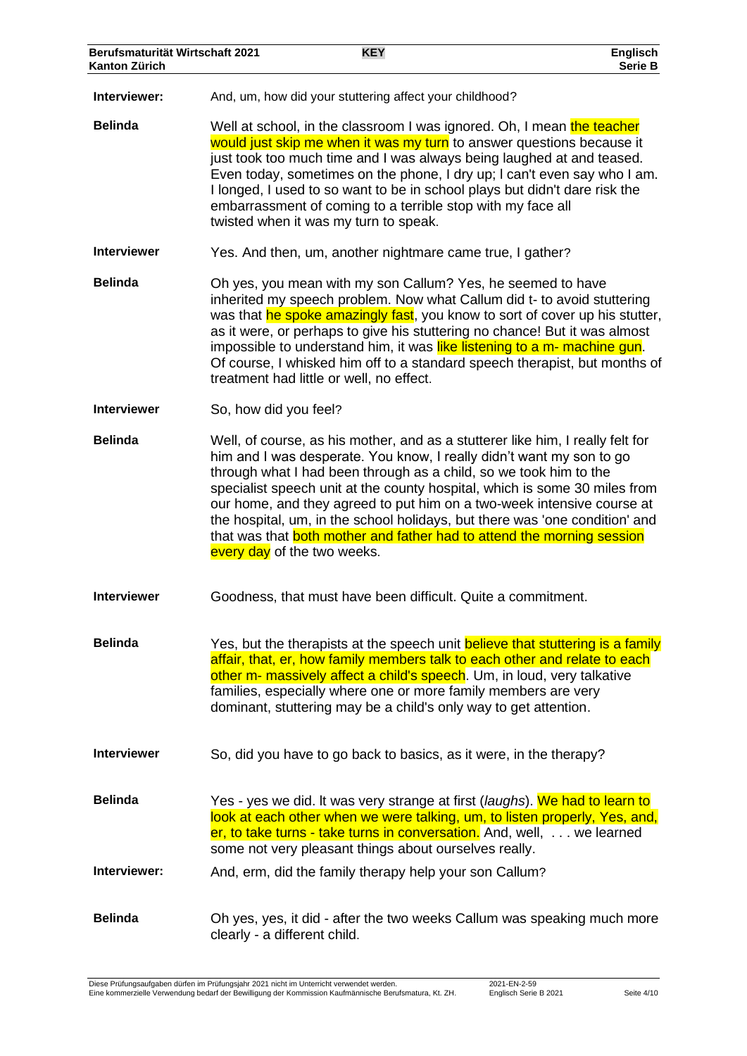| Berufsmaturität Wirtschaft 2021<br><b>Kanton Zürich</b> |                                                           | <b>KEY</b>                                                       | Englisch<br>Serie B                                                                                                                                                                                                                                                                                                                                                                                                                                                                                                                          |  |
|---------------------------------------------------------|-----------------------------------------------------------|------------------------------------------------------------------|----------------------------------------------------------------------------------------------------------------------------------------------------------------------------------------------------------------------------------------------------------------------------------------------------------------------------------------------------------------------------------------------------------------------------------------------------------------------------------------------------------------------------------------------|--|
| Interviewer:                                            |                                                           | And, um, how did your stuttering affect your childhood?          |                                                                                                                                                                                                                                                                                                                                                                                                                                                                                                                                              |  |
| <b>Belinda</b>                                          | twisted when it was my turn to speak.                     | embarrassment of coming to a terrible stop with my face all      | Well at school, in the classroom I was ignored. Oh, I mean the teacher<br>would just skip me when it was my turn to answer questions because it<br>just took too much time and I was always being laughed at and teased.<br>Even today, sometimes on the phone, I dry up; I can't even say who I am.<br>I longed, I used to so want to be in school plays but didn't dare risk the                                                                                                                                                           |  |
| <b>Interviewer</b>                                      | Yes. And then, um, another nightmare came true, I gather? |                                                                  |                                                                                                                                                                                                                                                                                                                                                                                                                                                                                                                                              |  |
| <b>Belinda</b>                                          | treatment had little or well, no effect.                  |                                                                  | Oh yes, you mean with my son Callum? Yes, he seemed to have<br>inherited my speech problem. Now what Callum did t- to avoid stuttering<br>was that he spoke amazingly fast, you know to sort of cover up his stutter,<br>as it were, or perhaps to give his stuttering no chance! But it was almost<br>impossible to understand him, it was like listening to a m- machine gun.<br>Of course, I whisked him off to a standard speech therapist, but months of                                                                                |  |
| <b>Interviewer</b>                                      | So, how did you feel?                                     |                                                                  |                                                                                                                                                                                                                                                                                                                                                                                                                                                                                                                                              |  |
| <b>Belinda</b>                                          | every day of the two weeks.                               |                                                                  | Well, of course, as his mother, and as a stutterer like him, I really felt for<br>him and I was desperate. You know, I really didn't want my son to go<br>through what I had been through as a child, so we took him to the<br>specialist speech unit at the county hospital, which is some 30 miles from<br>our home, and they agreed to put him on a two-week intensive course at<br>the hospital, um, in the school holidays, but there was 'one condition' and<br>that was that both mother and father had to attend the morning session |  |
| <b>Interviewer</b>                                      |                                                           | Goodness, that must have been difficult. Quite a commitment.     |                                                                                                                                                                                                                                                                                                                                                                                                                                                                                                                                              |  |
| <b>Belinda</b>                                          |                                                           | dominant, stuttering may be a child's only way to get attention. | Yes, but the therapists at the speech unit believe that stuttering is a family<br>affair, that, er, how family members talk to each other and relate to each<br>other m- massively affect a child's speech. Um, in loud, very talkative<br>families, especially where one or more family members are very                                                                                                                                                                                                                                    |  |
| <b>Interviewer</b>                                      |                                                           |                                                                  | So, did you have to go back to basics, as it were, in the therapy?                                                                                                                                                                                                                                                                                                                                                                                                                                                                           |  |
| <b>Belinda</b>                                          |                                                           | some not very pleasant things about ourselves really.            | Yes - yes we did. It was very strange at first (laughs). We had to learn to<br>look at each other when we were talking, um, to listen properly, Yes, and,<br>er, to take turns - take turns in conversation. And, well,  we learned                                                                                                                                                                                                                                                                                                          |  |
| Interviewer:                                            |                                                           | And, erm, did the family therapy help your son Callum?           |                                                                                                                                                                                                                                                                                                                                                                                                                                                                                                                                              |  |
| <b>Belinda</b>                                          | clearly - a different child.                              |                                                                  | Oh yes, yes, it did - after the two weeks Callum was speaking much more                                                                                                                                                                                                                                                                                                                                                                                                                                                                      |  |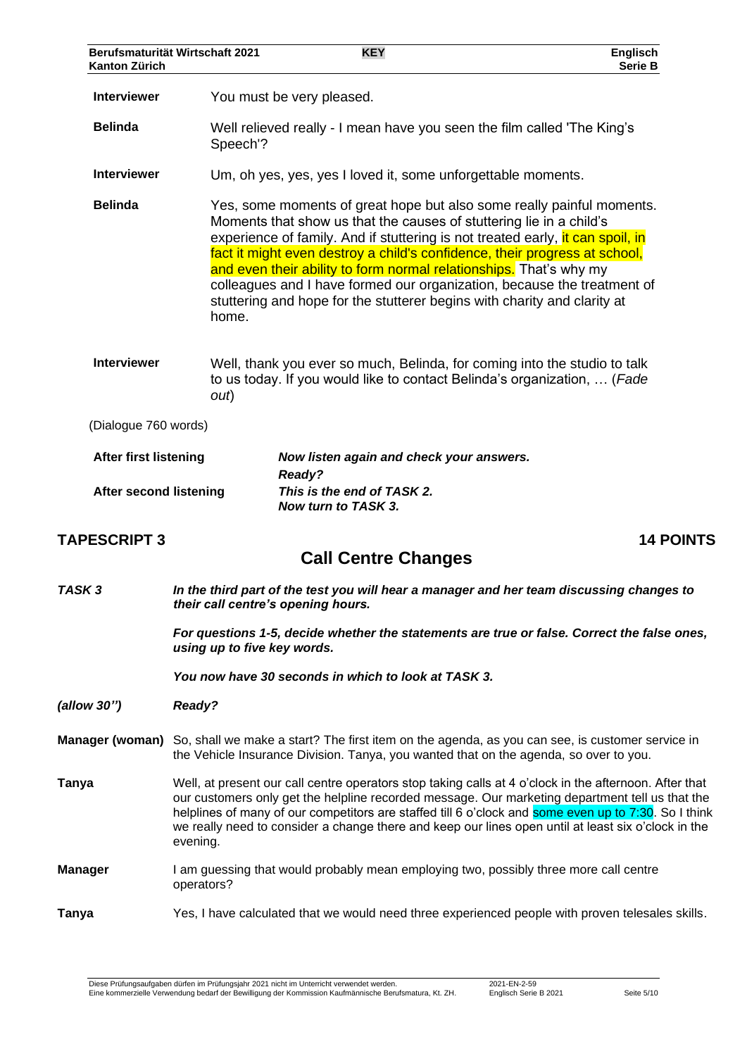| <b>Kanton Zürich</b>          | Berufsmaturität Wirtschaft 2021 | <b>KEY</b>                                                                                                                                                                                                                                                                                                                                                                                                                                                                                                                                | Englisch<br>Serie B                                                                                                                                                                                                                                                                                                                                                                                                      |
|-------------------------------|---------------------------------|-------------------------------------------------------------------------------------------------------------------------------------------------------------------------------------------------------------------------------------------------------------------------------------------------------------------------------------------------------------------------------------------------------------------------------------------------------------------------------------------------------------------------------------------|--------------------------------------------------------------------------------------------------------------------------------------------------------------------------------------------------------------------------------------------------------------------------------------------------------------------------------------------------------------------------------------------------------------------------|
| <b>Interviewer</b>            |                                 | You must be very pleased.                                                                                                                                                                                                                                                                                                                                                                                                                                                                                                                 |                                                                                                                                                                                                                                                                                                                                                                                                                          |
| <b>Belinda</b>                | Speech'?                        | Well relieved really - I mean have you seen the film called 'The King's                                                                                                                                                                                                                                                                                                                                                                                                                                                                   |                                                                                                                                                                                                                                                                                                                                                                                                                          |
| <b>Interviewer</b>            |                                 | Um, oh yes, yes, yes I loved it, some unforgettable moments.                                                                                                                                                                                                                                                                                                                                                                                                                                                                              |                                                                                                                                                                                                                                                                                                                                                                                                                          |
| <b>Belinda</b><br>home.       |                                 | Yes, some moments of great hope but also some really painful moments.<br>Moments that show us that the causes of stuttering lie in a child's<br>experience of family. And if stuttering is not treated early, it can spoil, in<br>fact it might even destroy a child's confidence, their progress at school,<br>and even their ability to form normal relationships. That's why my<br>colleagues and I have formed our organization, because the treatment of<br>stuttering and hope for the stutterer begins with charity and clarity at |                                                                                                                                                                                                                                                                                                                                                                                                                          |
| <b>Interviewer</b>            | out)                            | Well, thank you ever so much, Belinda, for coming into the studio to talk<br>to us today. If you would like to contact Belinda's organization,  (Fade                                                                                                                                                                                                                                                                                                                                                                                     |                                                                                                                                                                                                                                                                                                                                                                                                                          |
| (Dialogue 760 words)          |                                 |                                                                                                                                                                                                                                                                                                                                                                                                                                                                                                                                           |                                                                                                                                                                                                                                                                                                                                                                                                                          |
| <b>After first listening</b>  |                                 | Now listen again and check your answers.<br>Ready?                                                                                                                                                                                                                                                                                                                                                                                                                                                                                        |                                                                                                                                                                                                                                                                                                                                                                                                                          |
| <b>After second listening</b> |                                 | This is the end of TASK 2.<br>Now turn to TASK 3.                                                                                                                                                                                                                                                                                                                                                                                                                                                                                         |                                                                                                                                                                                                                                                                                                                                                                                                                          |
| <b>TAPESCRIPT 3</b>           |                                 | <b>14 POINTS</b>                                                                                                                                                                                                                                                                                                                                                                                                                                                                                                                          |                                                                                                                                                                                                                                                                                                                                                                                                                          |
|                               |                                 | <b>Call Centre Changes</b>                                                                                                                                                                                                                                                                                                                                                                                                                                                                                                                |                                                                                                                                                                                                                                                                                                                                                                                                                          |
| TASK3                         |                                 | their call centre's opening hours.                                                                                                                                                                                                                                                                                                                                                                                                                                                                                                        | In the third part of the test you will hear a manager and her team discussing changes to                                                                                                                                                                                                                                                                                                                                 |
|                               | using up to five key words.     |                                                                                                                                                                                                                                                                                                                                                                                                                                                                                                                                           | For questions 1-5, decide whether the statements are true or false. Correct the false ones,                                                                                                                                                                                                                                                                                                                              |
|                               |                                 | You now have 30 seconds in which to look at TASK 3.                                                                                                                                                                                                                                                                                                                                                                                                                                                                                       |                                                                                                                                                                                                                                                                                                                                                                                                                          |
| (allow 30")                   | Ready?                          |                                                                                                                                                                                                                                                                                                                                                                                                                                                                                                                                           |                                                                                                                                                                                                                                                                                                                                                                                                                          |
|                               |                                 | the Vehicle Insurance Division. Tanya, you wanted that on the agenda, so over to you.                                                                                                                                                                                                                                                                                                                                                                                                                                                     | Manager (woman) So, shall we make a start? The first item on the agenda, as you can see, is customer service in                                                                                                                                                                                                                                                                                                          |
| Tanya<br>evening.             |                                 |                                                                                                                                                                                                                                                                                                                                                                                                                                                                                                                                           | Well, at present our call centre operators stop taking calls at 4 o'clock in the afternoon. After that<br>our customers only get the helpline recorded message. Our marketing department tell us that the<br>helplines of many of our competitors are staffed till 6 o'clock and some even up to 7:30. So I think<br>we really need to consider a change there and keep our lines open until at least six o'clock in the |
| Manager                       | operators?                      | I am guessing that would probably mean employing two, possibly three more call centre                                                                                                                                                                                                                                                                                                                                                                                                                                                     |                                                                                                                                                                                                                                                                                                                                                                                                                          |
| Tanya                         |                                 |                                                                                                                                                                                                                                                                                                                                                                                                                                                                                                                                           | Yes, I have calculated that we would need three experienced people with proven telesales skills.                                                                                                                                                                                                                                                                                                                         |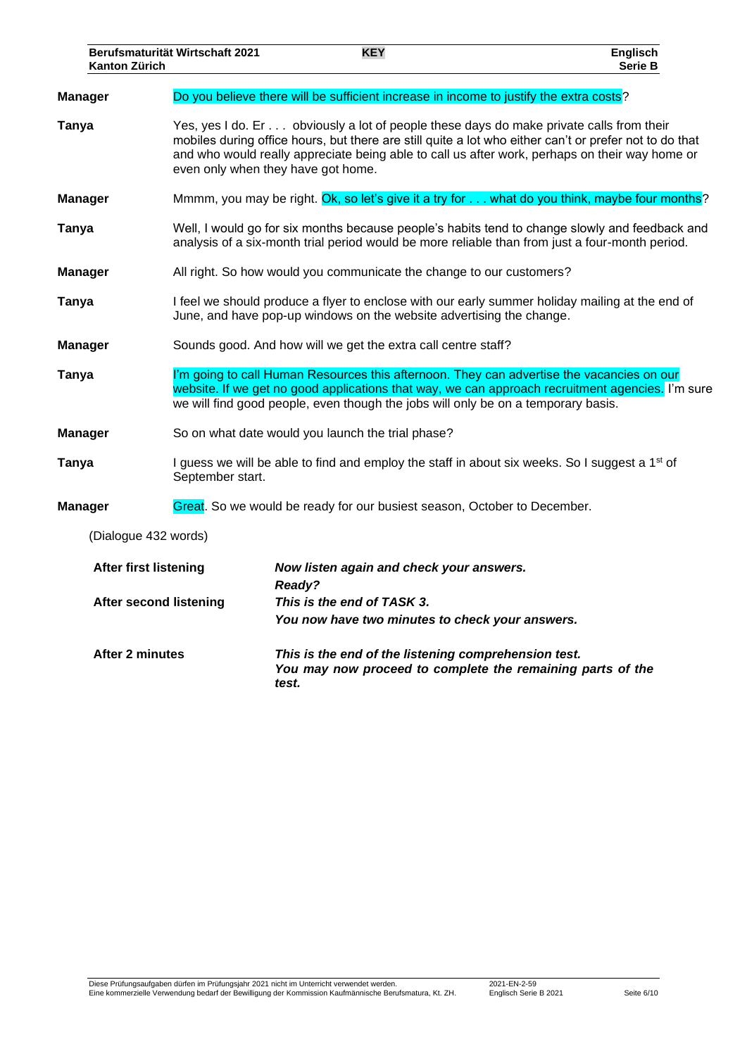| <b>Kanton Zürich</b>          | <b>Berufsmaturität Wirtschaft 2021</b>                                                                                                                                                                                                                                                                                                    | <b>KEY</b>                                                                                                                  | <b>Englisch</b><br>Serie B                                                                                                                                                                        |
|-------------------------------|-------------------------------------------------------------------------------------------------------------------------------------------------------------------------------------------------------------------------------------------------------------------------------------------------------------------------------------------|-----------------------------------------------------------------------------------------------------------------------------|---------------------------------------------------------------------------------------------------------------------------------------------------------------------------------------------------|
| <b>Manager</b>                |                                                                                                                                                                                                                                                                                                                                           | Do you believe there will be sufficient increase in income to justify the extra costs?                                      |                                                                                                                                                                                                   |
| <b>Tanya</b>                  | Yes, yes I do. Er obviously a lot of people these days do make private calls from their<br>mobiles during office hours, but there are still quite a lot who either can't or prefer not to do that<br>and who would really appreciate being able to call us after work, perhaps on their way home or<br>even only when they have got home. |                                                                                                                             |                                                                                                                                                                                                   |
| <b>Manager</b>                |                                                                                                                                                                                                                                                                                                                                           |                                                                                                                             | Mmmm, you may be right. Ok, so let's give it a try for what do you think, maybe four months?                                                                                                      |
| Tanya                         |                                                                                                                                                                                                                                                                                                                                           |                                                                                                                             | Well, I would go for six months because people's habits tend to change slowly and feedback and<br>analysis of a six-month trial period would be more reliable than from just a four-month period. |
| <b>Manager</b>                |                                                                                                                                                                                                                                                                                                                                           | All right. So how would you communicate the change to our customers?                                                        |                                                                                                                                                                                                   |
| Tanya                         | I feel we should produce a flyer to enclose with our early summer holiday mailing at the end of<br>June, and have pop-up windows on the website advertising the change.                                                                                                                                                                   |                                                                                                                             |                                                                                                                                                                                                   |
| <b>Manager</b>                | Sounds good. And how will we get the extra call centre staff?                                                                                                                                                                                                                                                                             |                                                                                                                             |                                                                                                                                                                                                   |
| <b>Tanya</b>                  | I'm going to call Human Resources this afternoon. They can advertise the vacancies on our<br>website. If we get no good applications that way, we can approach recruitment agencies. I'm sure<br>we will find good people, even though the jobs will only be on a temporary basis.                                                        |                                                                                                                             |                                                                                                                                                                                                   |
| <b>Manager</b>                |                                                                                                                                                                                                                                                                                                                                           | So on what date would you launch the trial phase?                                                                           |                                                                                                                                                                                                   |
| <b>Tanya</b>                  | I guess we will be able to find and employ the staff in about six weeks. So I suggest a 1 <sup>st</sup> of<br>September start.                                                                                                                                                                                                            |                                                                                                                             |                                                                                                                                                                                                   |
| <b>Manager</b>                |                                                                                                                                                                                                                                                                                                                                           | Great. So we would be ready for our busiest season, October to December.                                                    |                                                                                                                                                                                                   |
| (Dialogue 432 words)          |                                                                                                                                                                                                                                                                                                                                           |                                                                                                                             |                                                                                                                                                                                                   |
| <b>After first listening</b>  |                                                                                                                                                                                                                                                                                                                                           | Now listen again and check your answers.<br>Ready?                                                                          |                                                                                                                                                                                                   |
| <b>After second listening</b> |                                                                                                                                                                                                                                                                                                                                           | This is the end of TASK 3.                                                                                                  |                                                                                                                                                                                                   |
|                               |                                                                                                                                                                                                                                                                                                                                           | You now have two minutes to check your answers.                                                                             |                                                                                                                                                                                                   |
| <b>After 2 minutes</b>        |                                                                                                                                                                                                                                                                                                                                           | This is the end of the listening comprehension test.<br>You may now proceed to complete the remaining parts of the<br>test. |                                                                                                                                                                                                   |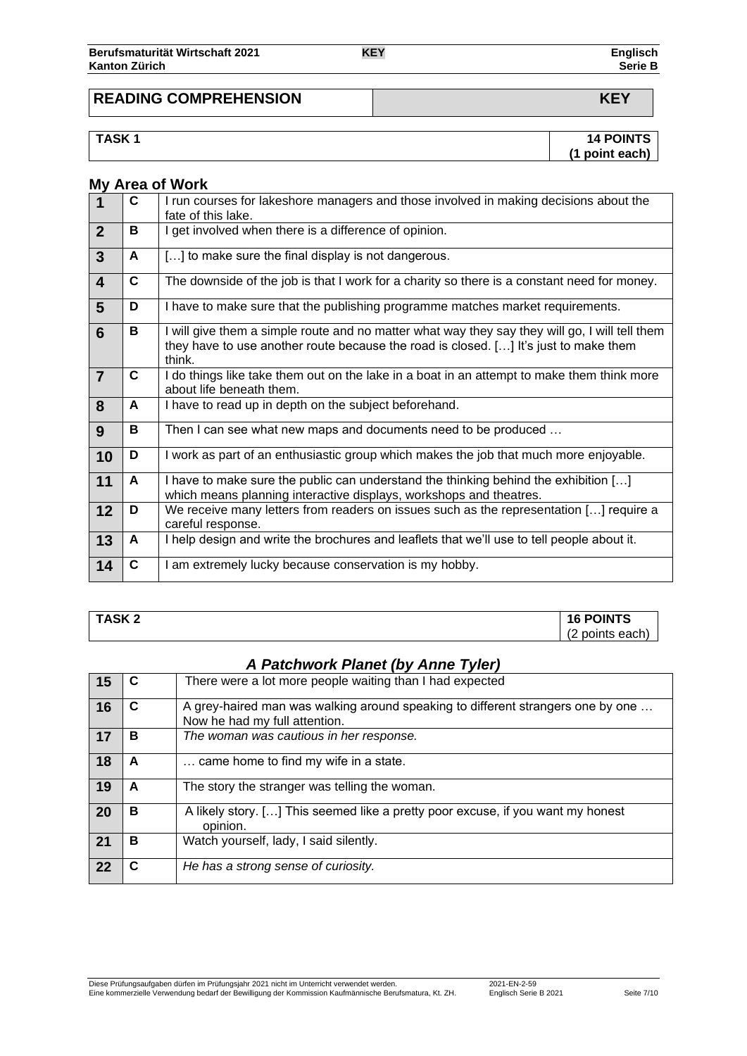## **READING COMPREHENSION KEY**

**TASK 1 14 POINTS (1 point each)**

#### **My Area of Work**

| $\overline{1}$          | C            | I run courses for lakeshore managers and those involved in making decisions about the<br>fate of this lake.                                                                                      |
|-------------------------|--------------|--------------------------------------------------------------------------------------------------------------------------------------------------------------------------------------------------|
| $\overline{2}$          | в            | get involved when there is a difference of opinion.                                                                                                                                              |
| $\mathbf{3}$            | A            | [] to make sure the final display is not dangerous.                                                                                                                                              |
| $\overline{\mathbf{4}}$ | $\mathbf{C}$ | The downside of the job is that I work for a charity so there is a constant need for money.                                                                                                      |
| 5                       | D            | I have to make sure that the publishing programme matches market requirements.                                                                                                                   |
| 6                       | В            | I will give them a simple route and no matter what way they say they will go, I will tell them<br>they have to use another route because the road is closed. [] It's just to make them<br>think. |
| $\overline{7}$          | C            | I do things like take them out on the lake in a boat in an attempt to make them think more<br>about life beneath them.                                                                           |
| 8                       | A            | I have to read up in depth on the subject beforehand.                                                                                                                                            |
| 9                       | В            | Then I can see what new maps and documents need to be produced                                                                                                                                   |
| 10                      | D            | I work as part of an enthusiastic group which makes the job that much more enjoyable.                                                                                                            |
| 11                      | A            | I have to make sure the public can understand the thinking behind the exhibition []<br>which means planning interactive displays, workshops and theatres.                                        |
| 12                      | D            | We receive many letters from readers on issues such as the representation [] require a<br>careful response.                                                                                      |
| 13                      | A            | I help design and write the brochures and leaflets that we'll use to tell people about it.                                                                                                       |
| 14                      | C            | am extremely lucky because conservation is my hobby.                                                                                                                                             |

**TASK 2 16 POINTS** (2 points each)

## *A Patchwork Planet (by Anne Tyler)*

| 15 |   | There were a lot more people waiting than I had expected                                                         |
|----|---|------------------------------------------------------------------------------------------------------------------|
| 16 | C | A grey-haired man was walking around speaking to different strangers one by one<br>Now he had my full attention. |
| 17 | в | The woman was cautious in her response.                                                                          |
| 18 | A | came home to find my wife in a state.                                                                            |
| 19 | A | The story the stranger was telling the woman.                                                                    |
| 20 | в | A likely story. [] This seemed like a pretty poor excuse, if you want my honest<br>opinion.                      |
| 21 | в | Watch yourself, lady, I said silently.                                                                           |
| 22 |   | He has a strong sense of curiosity.                                                                              |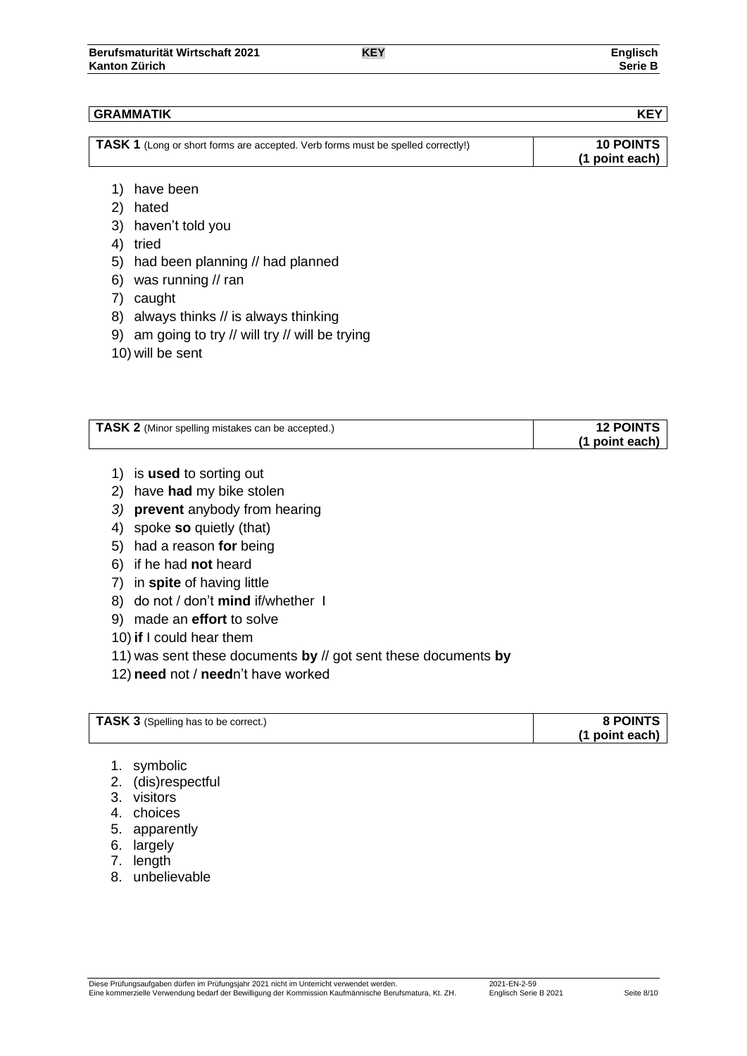#### **GRAMMATIK KEY**

| <b>TASK 1</b> (Long or short forms are accepted. Verb forms must be spelled correctly!) | <b>10 POINTS</b> |
|-----------------------------------------------------------------------------------------|------------------|
|                                                                                         | (1 point each)   |
|                                                                                         |                  |

- 1) have been
- 2) hated
- 3) haven't told you
- 4) tried
- 5) had been planning // had planned
- 6) was running // ran
- 7) caught
- 8) always thinks // is always thinking
- 9) am going to try // will try // will be trying
- 10) will be sent

| <b>TASK 2</b> (Minor spelling mistakes can be accepted.) | <b>12 POINTS</b> |
|----------------------------------------------------------|------------------|
|                                                          | (1 point each)   |

- 1) is **used** to sorting out
- 2) have **had** my bike stolen
- *3)* **prevent** anybody from hearing
- 4) spoke **so** quietly (that)
- 5) had a reason **for** being
- 6) if he had **not** heard
- 7) in **spite** of having little
- 8) do not / don't **mind** if/whether I
- 9) made an **effort** to solve
- 10) **if** I could hear them
- 11) was sent these documents **by** // got sent these documents **by**
- 12) **need** not / **need**n't have worked

| <b>TASK 3</b> (Spelling has to be correct.) | <b>8 POINTS</b> |
|---------------------------------------------|-----------------|
|                                             | (1 point each)  |

- 1. symbolic
- 2. (dis)respectful
- 3. visitors
- 4. choices
- 5. apparently
- 6. largely
- 7. length
- 8. unbelievable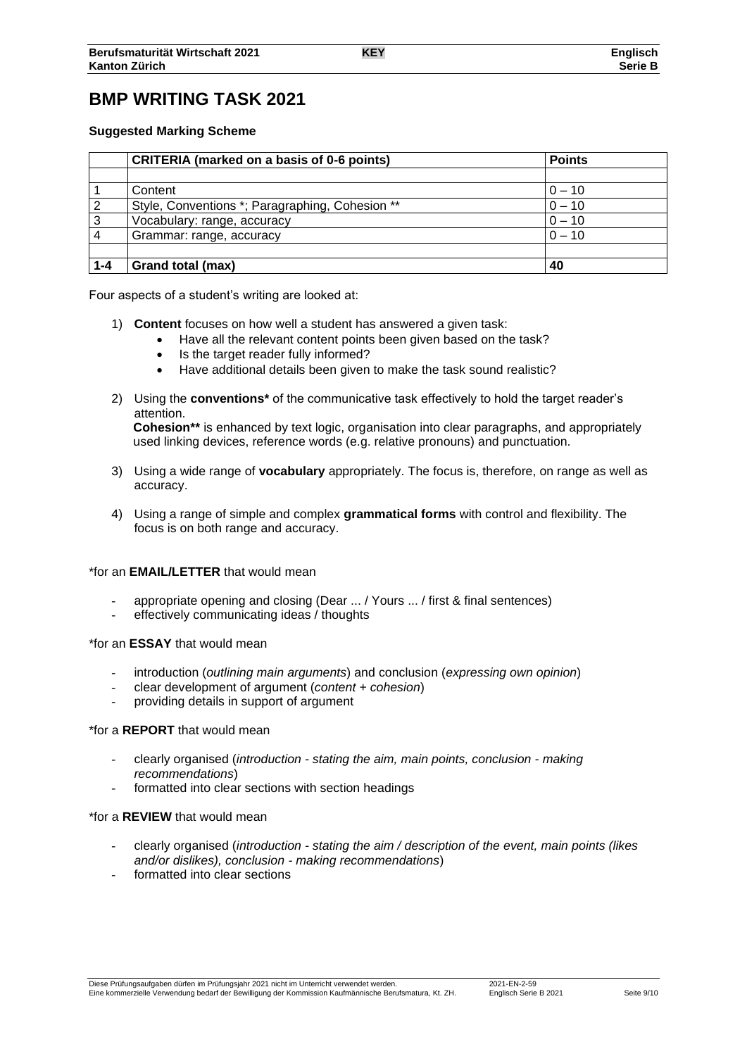# **BMP WRITING TASK 2021**

#### **Suggested Marking Scheme**

|         | <b>CRITERIA (marked on a basis of 0-6 points)</b> | <b>Points</b> |  |
|---------|---------------------------------------------------|---------------|--|
|         |                                                   |               |  |
|         | Content                                           | $0 - 10$      |  |
|         | Style, Conventions *; Paragraphing, Cohesion **   | $0 - 10$      |  |
| 3       | Vocabulary: range, accuracy                       | $0 - 10$      |  |
|         | Grammar: range, accuracy                          | $0 - 10$      |  |
|         |                                                   |               |  |
| $1 - 4$ | Grand total (max)                                 | 40            |  |

Four aspects of a student's writing are looked at:

- 1) **Content** focuses on how well a student has answered a given task:
	- Have all the relevant content points been given based on the task?
	- Is the target reader fully informed?
	- Have additional details been given to make the task sound realistic?
- 2) Using the **conventions\*** of the communicative task effectively to hold the target reader's attention. **Cohesion\*\*** is enhanced by text logic, organisation into clear paragraphs, and appropriately used linking devices, reference words (e.g. relative pronouns) and punctuation.
- 3) Using a wide range of **vocabulary** appropriately. The focus is, therefore, on range as well as accuracy.
- 4) Using a range of simple and complex **grammatical forms** with control and flexibility. The focus is on both range and accuracy.

#### \*for an **EMAIL/LETTER** that would mean

- appropriate opening and closing (Dear ... / Yours ... / first & final sentences)
- effectively communicating ideas / thoughts

#### \*for an **ESSAY** that would mean

- introduction (*outlining main arguments*) and conclusion (*expressing own opinion*)
- clear development of argument (*content + cohesion*)
- providing details in support of argument

#### \*for a **REPORT** that would mean

- clearly organised (*introduction - stating the aim, main points, conclusion - making recommendations*)
- formatted into clear sections with section headings

#### \*for a **REVIEW** that would mean

- clearly organised (*introduction - stating the aim / description of the event, main points (likes and/or dislikes), conclusion - making recommendations*)
- formatted into clear sections